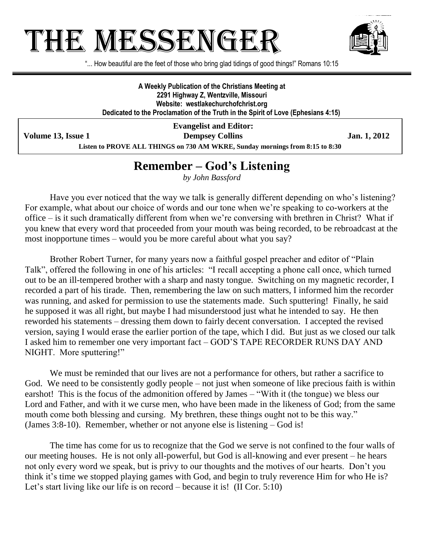# THE MESSENGE



"... How beautiful are the feet of those who bring glad tidings of good things!" Romans 10:15

**A Weekly Publication of the Christians Meeting at 2291 Highway Z, Wentzville, Missouri Website: westlakechurchofchrist.org Dedicated to the Proclamation of the Truth in the Spirit of Love (Ephesians 4:15)**

**Evangelist and Editor: Volume 13, Issue 1 Dempsey Collins Dempsey Collins Jan. 1, 2012 Listen to PROVE ALL THINGS on 730 AM WKRE, Sunday mornings from 8:15 to 8:30**

## **Remember – God's Listening**

*by John Bassford*

Have you ever noticed that the way we talk is generally different depending on who's listening? For example, what about our choice of words and our tone when we're speaking to co-workers at the office – is it such dramatically different from when we're conversing with brethren in Christ? What if you knew that every word that proceeded from your mouth was being recorded, to be rebroadcast at the most inopportune times – would you be more careful about what you say?

Brother Robert Turner, for many years now a faithful gospel preacher and editor of "Plain Talk", offered the following in one of his articles: "I recall accepting a phone call once, which turned out to be an ill-tempered brother with a sharp and nasty tongue. Switching on my magnetic recorder, I recorded a part of his tirade. Then, remembering the law on such matters, I informed him the recorder was running, and asked for permission to use the statements made. Such sputtering! Finally, he said he supposed it was all right, but maybe I had misunderstood just what he intended to say. He then reworded his statements – dressing them down to fairly decent conversation. I accepted the revised version, saying I would erase the earlier portion of the tape, which I did. But just as we closed our talk I asked him to remember one very important fact – GOD'S TAPE RECORDER RUNS DAY AND NIGHT. More sputtering!"

We must be reminded that our lives are not a performance for others, but rather a sacrifice to God. We need to be consistently godly people – not just when someone of like precious faith is within earshot! This is the focus of the admonition offered by James – "With it (the tongue) we bless our Lord and Father, and with it we curse men, who have been made in the likeness of God; from the same mouth come both blessing and cursing. My brethren, these things ought not to be this way." (James 3:8-10). Remember, whether or not anyone else is listening – God is!

The time has come for us to recognize that the God we serve is not confined to the four walls of our meeting houses. He is not only all-powerful, but God is all-knowing and ever present – he hears not only every word we speak, but is privy to our thoughts and the motives of our hearts. Don't you think it's time we stopped playing games with God, and begin to truly reverence Him for who He is? Let's start living like our life is on record – because it is! (II Cor. 5:10)